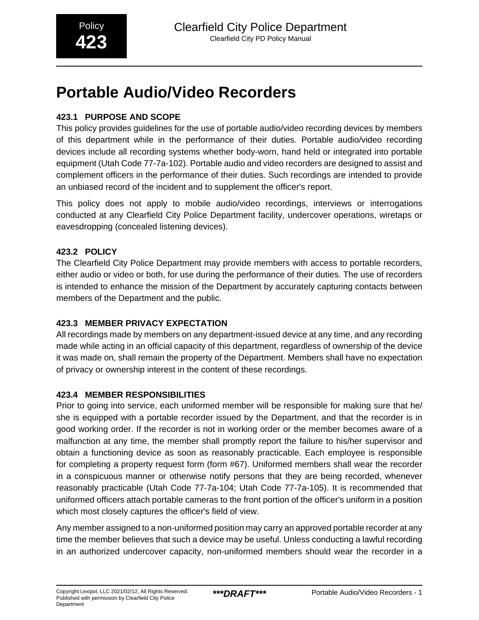# **Portable Audio/Video Recorders**

# **423.1 PURPOSE AND SCOPE**

This policy provides guidelines for the use of portable audio/video recording devices by members of this department while in the performance of their duties. Portable audio/video recording devices include all recording systems whether body-worn, hand held or integrated into portable equipment (Utah Code 77-7a-102). Portable audio and video recorders are designed to assist and complement officers in the performance of their duties. Such recordings are intended to provide an unbiased record of the incident and to supplement the officer's report.

This policy does not apply to mobile audio/video recordings, interviews or interrogations conducted at any Clearfield City Police Department facility, undercover operations, wiretaps or eavesdropping (concealed listening devices).

## **423.2 POLICY**

The Clearfield City Police Department may provide members with access to portable recorders, either audio or video or both, for use during the performance of their duties. The use of recorders is intended to enhance the mission of the Department by accurately capturing contacts between members of the Department and the public.

## **423.3 MEMBER PRIVACY EXPECTATION**

All recordings made by members on any department-issued device at any time, and any recording made while acting in an official capacity of this department, regardless of ownership of the device it was made on, shall remain the property of the Department. Members shall have no expectation of privacy or ownership interest in the content of these recordings.

#### **423.4 MEMBER RESPONSIBILITIES**

Prior to going into service, each uniformed member will be responsible for making sure that he/ she is equipped with a portable recorder issued by the Department, and that the recorder is in good working order. If the recorder is not in working order or the member becomes aware of a malfunction at any time, the member shall promptly report the failure to his/her supervisor and obtain a functioning device as soon as reasonably practicable. Each employee is responsible for completing a property request form (form #67). Uniformed members shall wear the recorder in a conspicuous manner or otherwise notify persons that they are being recorded, whenever reasonably practicable (Utah Code 77-7a-104; Utah Code 77-7a-105). It is recommended that uniformed officers attach portable cameras to the front portion of the officer's uniform in a position which most closely captures the officer's field of view.

Any member assigned to a non-uniformed position may carry an approved portable recorder at any time the member believes that such a device may be useful. Unless conducting a lawful recording in an authorized undercover capacity, non-uniformed members should wear the recorder in a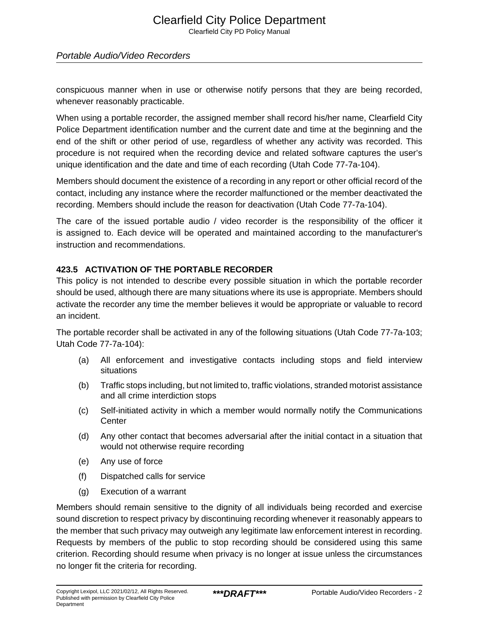#### Portable Audio/Video Recorders

conspicuous manner when in use or otherwise notify persons that they are being recorded, whenever reasonably practicable.

When using a portable recorder, the assigned member shall record his/her name, Clearfield City Police Department identification number and the current date and time at the beginning and the end of the shift or other period of use, regardless of whether any activity was recorded. This procedure is not required when the recording device and related software captures the user's unique identification and the date and time of each recording (Utah Code 77-7a-104).

Members should document the existence of a recording in any report or other official record of the contact, including any instance where the recorder malfunctioned or the member deactivated the recording. Members should include the reason for deactivation (Utah Code 77-7a-104).

The care of the issued portable audio / video recorder is the responsibility of the officer it is assigned to. Each device will be operated and maintained according to the manufacturer's instruction and recommendations.

#### **423.5 ACTIVATION OF THE PORTABLE RECORDER**

This policy is not intended to describe every possible situation in which the portable recorder should be used, although there are many situations where its use is appropriate. Members should activate the recorder any time the member believes it would be appropriate or valuable to record an incident.

The portable recorder shall be activated in any of the following situations (Utah Code 77-7a-103; Utah Code 77-7a-104):

- (a) All enforcement and investigative contacts including stops and field interview situations
- (b) Traffic stops including, but not limited to, traffic violations, stranded motorist assistance and all crime interdiction stops
- (c) Self-initiated activity in which a member would normally notify the Communications **Center**
- (d) Any other contact that becomes adversarial after the initial contact in a situation that would not otherwise require recording
- (e) Any use of force
- (f) Dispatched calls for service
- (g) Execution of a warrant

Members should remain sensitive to the dignity of all individuals being recorded and exercise sound discretion to respect privacy by discontinuing recording whenever it reasonably appears to the member that such privacy may outweigh any legitimate law enforcement interest in recording. Requests by members of the public to stop recording should be considered using this same criterion. Recording should resume when privacy is no longer at issue unless the circumstances no longer fit the criteria for recording.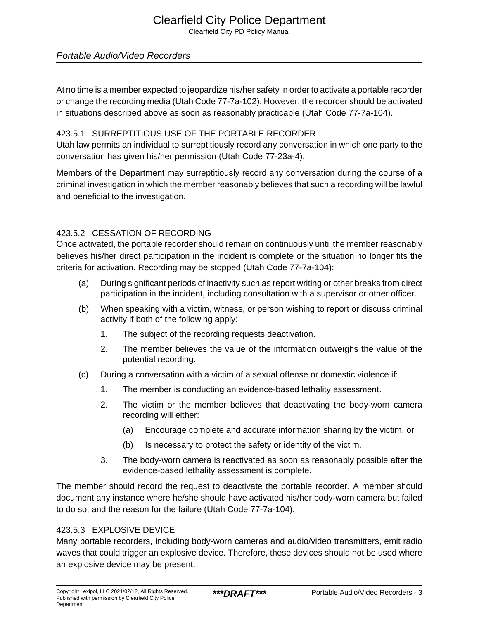# Clearfield City Police Department

Clearfield City PD Policy Manual

#### Portable Audio/Video Recorders

At no time is a member expected to jeopardize his/her safety in order to activate a portable recorder or change the recording media (Utah Code 77-7a-102). However, the recorder should be activated in situations described above as soon as reasonably practicable (Utah Code 77-7a-104).

#### 423.5.1 SURREPTITIOUS USE OF THE PORTABLE RECORDER

Utah law permits an individual to surreptitiously record any conversation in which one party to the conversation has given his/her permission (Utah Code 77-23a-4).

Members of the Department may surreptitiously record any conversation during the course of a criminal investigation in which the member reasonably believes that such a recording will be lawful and beneficial to the investigation.

#### 423.5.2 CESSATION OF RECORDING

Once activated, the portable recorder should remain on continuously until the member reasonably believes his/her direct participation in the incident is complete or the situation no longer fits the criteria for activation. Recording may be stopped (Utah Code 77-7a-104):

- (a) During significant periods of inactivity such as report writing or other breaks from direct participation in the incident, including consultation with a supervisor or other officer.
- (b) When speaking with a victim, witness, or person wishing to report or discuss criminal activity if both of the following apply:
	- 1. The subject of the recording requests deactivation.
	- 2. The member believes the value of the information outweighs the value of the potential recording.
- (c) During a conversation with a victim of a sexual offense or domestic violence if:
	- 1. The member is conducting an evidence-based lethality assessment.
	- 2. The victim or the member believes that deactivating the body-worn camera recording will either:
		- (a) Encourage complete and accurate information sharing by the victim, or
		- (b) Is necessary to protect the safety or identity of the victim.
	- 3. The body-worn camera is reactivated as soon as reasonably possible after the evidence-based lethality assessment is complete.

The member should record the request to deactivate the portable recorder. A member should document any instance where he/she should have activated his/her body-worn camera but failed to do so, and the reason for the failure (Utah Code 77-7a-104).

#### 423.5.3 EXPLOSIVE DEVICE

Many portable recorders, including body-worn cameras and audio/video transmitters, emit radio waves that could trigger an explosive device. Therefore, these devices should not be used where an explosive device may be present.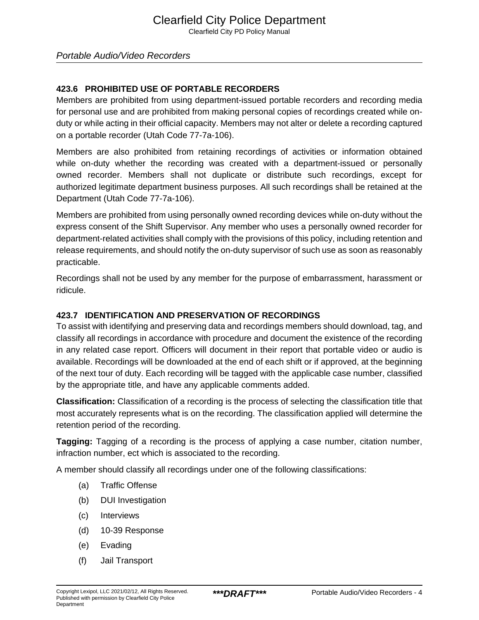#### Portable Audio/Video Recorders

#### **423.6 PROHIBITED USE OF PORTABLE RECORDERS**

Members are prohibited from using department-issued portable recorders and recording media for personal use and are prohibited from making personal copies of recordings created while onduty or while acting in their official capacity. Members may not alter or delete a recording captured on a portable recorder (Utah Code 77-7a-106).

Members are also prohibited from retaining recordings of activities or information obtained while on-duty whether the recording was created with a department-issued or personally owned recorder. Members shall not duplicate or distribute such recordings, except for authorized legitimate department business purposes. All such recordings shall be retained at the Department (Utah Code 77-7a-106).

Members are prohibited from using personally owned recording devices while on-duty without the express consent of the Shift Supervisor. Any member who uses a personally owned recorder for department-related activities shall comply with the provisions of this policy, including retention and release requirements, and should notify the on-duty supervisor of such use as soon as reasonably practicable.

Recordings shall not be used by any member for the purpose of embarrassment, harassment or ridicule.

#### **423.7 IDENTIFICATION AND PRESERVATION OF RECORDINGS**

To assist with identifying and preserving data and recordings members should download, tag, and classify all recordings in accordance with procedure and document the existence of the recording in any related case report. Officers will document in their report that portable video or audio is available. Recordings will be downloaded at the end of each shift or if approved, at the beginning of the next tour of duty. Each recording will be tagged with the applicable case number, classified by the appropriate title, and have any applicable comments added.

**Classification:** Classification of a recording is the process of selecting the classification title that most accurately represents what is on the recording. The classification applied will determine the retention period of the recording.

**Tagging:** Tagging of a recording is the process of applying a case number, citation number, infraction number, ect which is associated to the recording.

A member should classify all recordings under one of the following classifications:

- (a) Traffic Offense
- (b) DUI Investigation
- (c) Interviews
- (d) 10-39 Response
- (e) Evading
- (f) Jail Transport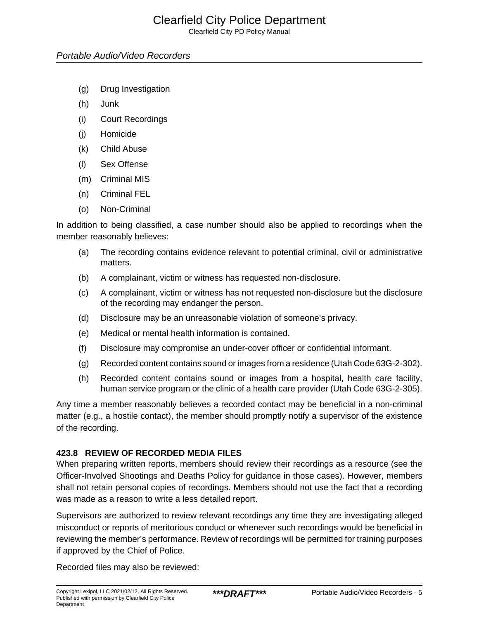Clearfield City PD Policy Manual

- (g) Drug Investigation
- (h) Junk
- (i) Court Recordings
- (j) Homicide
- (k) Child Abuse
- (l) Sex Offense
- (m) Criminal MIS
- (n) Criminal FEL
- (o) Non-Criminal

In addition to being classified, a case number should also be applied to recordings when the member reasonably believes:

- (a) The recording contains evidence relevant to potential criminal, civil or administrative matters.
- (b) A complainant, victim or witness has requested non-disclosure.
- (c) A complainant, victim or witness has not requested non-disclosure but the disclosure of the recording may endanger the person.
- (d) Disclosure may be an unreasonable violation of someone's privacy.
- (e) Medical or mental health information is contained.
- (f) Disclosure may compromise an under-cover officer or confidential informant.
- (g) Recorded content contains sound or images from a residence (Utah Code 63G-2-302).
- (h) Recorded content contains sound or images from a hospital, health care facility, human service program or the clinic of a health care provider (Utah Code 63G-2-305).

Any time a member reasonably believes a recorded contact may be beneficial in a non-criminal matter (e.g., a hostile contact), the member should promptly notify a supervisor of the existence of the recording.

#### **423.8 REVIEW OF RECORDED MEDIA FILES**

When preparing written reports, members should review their recordings as a resource (see the Officer-Involved Shootings and Deaths Policy for guidance in those cases). However, members shall not retain personal copies of recordings. Members should not use the fact that a recording was made as a reason to write a less detailed report.

Supervisors are authorized to review relevant recordings any time they are investigating alleged misconduct or reports of meritorious conduct or whenever such recordings would be beneficial in reviewing the member's performance. Review of recordings will be permitted for training purposes if approved by the Chief of Police.

Recorded files may also be reviewed: